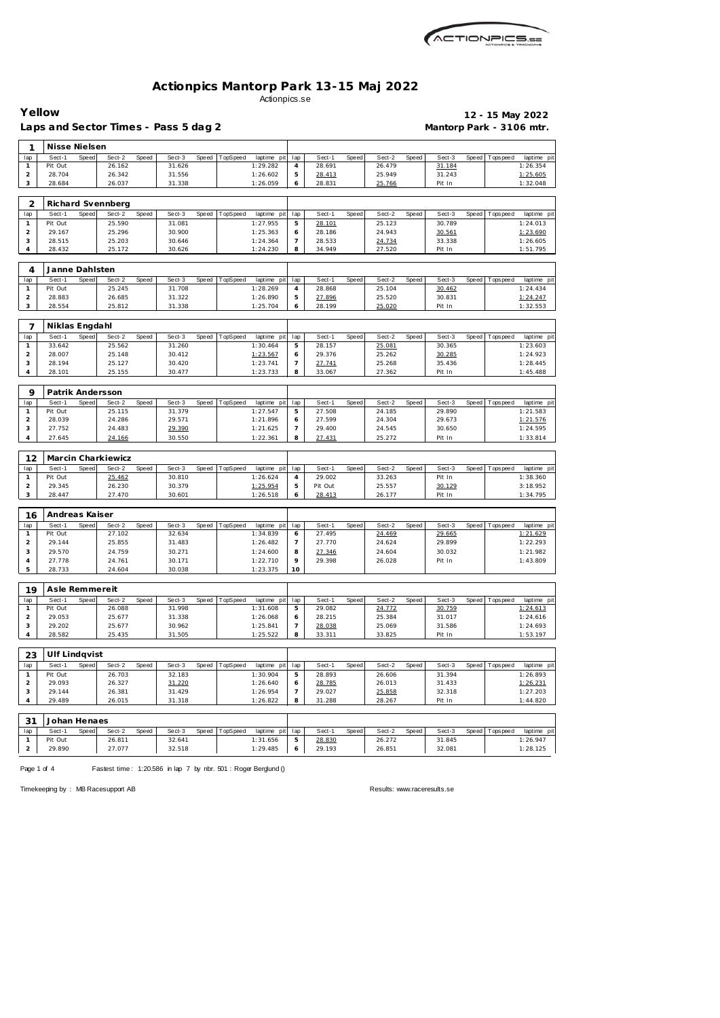

## **Actionpics Mantorp Park 13-15 Maj 2022** Actionpics.se

| Yellow                         | Laps and Sector Times - Pass 5 dag 2 |       |                    |       |                  |              |          |                         |                     |                  |       |                  |       | Mantorp Park - 3106 mtr. |       |                   | 12 - 15 May 2022        |
|--------------------------------|--------------------------------------|-------|--------------------|-------|------------------|--------------|----------|-------------------------|---------------------|------------------|-------|------------------|-------|--------------------------|-------|-------------------|-------------------------|
| 1                              | Nisse Nielsen                        |       |                    |       |                  |              |          |                         |                     |                  |       |                  |       |                          |       |                   |                         |
| lap                            | Sect-1                               | Speed | Sect-2             | Speed | Sect-3           | Speed        | TopSpeed | laptime pit             | lap                 | Sect-1           | Speed | Sect-2           | Speed | Sect-3                   | Speed | Tops peed         | laptime pit             |
| 1                              | Pit Out                              |       | 26.162             |       | 31.626           |              |          | 1:29.282                | 4                   | 28.691           |       | 26.479           |       | 31.184                   |       |                   | 1:26.354                |
| $\overline{a}$<br>3            | 28.704<br>28.684                     |       | 26.342<br>26.037   |       | 31.556<br>31.338 |              |          | 1:26.602<br>1:26.059    | $\mathbf 5$<br>6    | 28.413<br>28.831 |       | 25.949<br>25.766 |       | 31.243<br>Pit In         |       |                   | 1:25.605<br>1:32.048    |
|                                |                                      |       |                    |       |                  |              |          |                         |                     |                  |       |                  |       |                          |       |                   |                         |
| 2                              |                                      |       | Richard Svennberg  |       |                  |              |          |                         |                     |                  |       |                  |       |                          |       |                   |                         |
| lap                            | Sect-1                               | Speed | Sect-2             | Speed | Sect-3           | Speed        | TopSpeed | laptime pit             | lap                 | Sect-1           | Speed | Sect-2           | Speed | Sect-3                   | Speed | Tops peed         | laptime pit             |
| $\mathbf{1}$                   | Pit Out                              |       | 25.590             |       | 31.081           |              |          | 1:27.955                | $\mathbf 5$         | 28.101           |       | 25.123           |       | 30.789                   |       |                   | 1:24.013                |
| $\overline{a}$                 | 29.167                               |       | 25.296             |       | 30.900           |              |          | 1:25.363                | 6                   | 28.186           |       | 24.943           |       | 30.561                   |       |                   | 1:23.690                |
| 3                              | 28.515                               |       | 25.203             |       | 30.646           |              |          | 1:24.364                | 7                   | 28.533           |       | 24.734           |       | 33.338                   |       |                   | 1:26.605                |
| 4                              | 28.432                               |       | 25.172             |       | 30.626           |              |          | 1:24.230                | 8                   | 34.949           |       | 27.520           |       | Pit In                   |       |                   | 1:51.795                |
| 4                              | Janne Dahlsten                       |       |                    |       |                  |              |          |                         |                     |                  |       |                  |       |                          |       |                   |                         |
| lap                            | Sect-1                               | Speed | Sect-2             | Speed | Sect-3           | Speed        | TopSpeed | laptime pit             | lap                 | Sect-1           | Speed | Sect-2           | Speed | Sect-3                   | Speed | Tops peed         | laptime pit             |
| $\mathbf{1}$                   | Pit Out                              |       | 25.245             |       | 31.708           |              |          | 1:28.269                | 4                   | 28.868           |       | 25.104           |       | 30.462                   |       |                   | 1:24.434                |
| 2                              | 28.883                               |       | 26.685             |       | 31.322           |              |          | 1:26.890                | 5                   | 27.896           |       | 25.520           |       | 30.831                   |       |                   | 1:24.247                |
| 3                              | 28.554                               |       | 25.812             |       | 31.338           |              |          | 1:25.704                | 6                   | 28.199           |       | 25.020           |       | Pit In                   |       |                   | 1:32.553                |
| 7                              | Niklas Engdahl                       |       |                    |       |                  |              |          |                         |                     |                  |       |                  |       |                          |       |                   |                         |
| lap                            | Sect-1                               | Speed | Sect-2             | Speed | Sect-3           | Speed        | TopSpeed | laptime pit             | lap                 | Sect-1           | Speed | Sect-2           | Speed | Sect-3                   | Speed | Tops peed         | laptime pit             |
| 1                              | 33.642                               |       | 25.562             |       | 31.260           |              |          | 1:30.464                | 5                   | 28.157           |       | 25.081           |       | 30.365                   |       |                   | 1:23.603                |
| $\overline{a}$                 | 28.007                               |       | 25.148             |       | 30.412           |              |          | 1:23.567                | 6                   | 29.376           |       | 25.262           |       | 30.285                   |       |                   | 1:24.923                |
| 3                              | 28.194                               |       | 25.127             |       | 30.420           |              |          | 1:23.741                | $\overline{7}$      | 27.741           |       | 25.268           |       | 35.436                   |       |                   | 1:28.445                |
| 4                              | 28.101                               |       | 25.155             |       | 30.477           |              |          | 1:23.733                | 8                   | 33.067           |       | 27.362           |       | Pit In                   |       |                   | 1:45.488                |
|                                |                                      |       |                    |       |                  |              |          |                         |                     |                  |       |                  |       |                          |       |                   |                         |
| 9                              | Patrik Andersson                     |       |                    |       |                  |              |          |                         |                     |                  |       |                  |       |                          |       |                   |                         |
| lap<br>1                       | Sect-1<br>Pit Out                    | Speed | Sect-2<br>25.115   | Speed | Sect-3<br>31.379 | Speed        | TopSpeed | laptime pit<br>1:27.547 | lap<br>5            | Sect-1<br>27.508 | Speed | Sect-2<br>24.185 | Speed | Sect-3<br>29.890         | Speed | Tops peed         | laptime pit<br>1:21.583 |
| $\overline{c}$                 | 28.039                               |       | 24.286             |       | 29.571           |              |          | 1:21.896                | 6                   | 27.599           |       | 24.304           |       | 29.673                   |       |                   | 1:21.576                |
| 3                              | 27.752                               |       | 24.483             |       | 29.390           |              |          | 1:21.625                | $\overline{7}$      | 29.400           |       | 24.545           |       | 30.650                   |       |                   | 1:24.595                |
| 4                              | 27.645                               |       | 24.166             |       | 30.550           |              |          | 1:22.361                | 8                   | 27.431           |       | 25.272           |       | Pit In                   |       |                   | 1:33.814                |
|                                |                                      |       |                    |       |                  |              |          |                         |                     |                  |       |                  |       |                          |       |                   |                         |
| 12                             |                                      |       | Marcin Charkiewicz |       |                  |              |          |                         |                     |                  |       |                  |       |                          |       |                   |                         |
| lap<br>$\mathbf{1}$            | Sect-1<br>Pit Out                    | Speed | Sect-2<br>25.462   | Speed | Sect-3<br>30.810 | Speed        | TopSpeed | laptime pit<br>1:26.624 | lap<br>4            | Sect-1<br>29.002 | Speed | Sect-2<br>33.263 | Speed | Sect-3<br>Pit In         | Speed | T ops pee d       | laptime pit<br>1:38.360 |
| $\overline{a}$                 | 29.345                               |       | 26.230             |       | 30.379           |              |          | 1:25.954                | 5                   | Pit Out          |       | 25.557           |       | 30.129                   |       |                   | 3:18.952                |
| 3                              | 28.447                               |       | 27.470             |       | 30.601           |              |          | 1:26.518                | 6                   | 28.413           |       | 26.177           |       | Pit In                   |       |                   | 1:34.795                |
|                                |                                      |       |                    |       |                  |              |          |                         |                     |                  |       |                  |       |                          |       |                   |                         |
| 16                             | Andreas Kaiser                       |       |                    |       |                  |              |          |                         |                     |                  |       |                  |       |                          |       |                   |                         |
| lap<br>$\mathbf{1}$            | Sect-1<br>Pit Out                    | Speed | Sect-2<br>27.102   | Speed | Sect-3<br>32.634 | <b>Speed</b> | TopSpeed | laptime pit<br>1:34.839 | lap<br>6            | Sect-1<br>27.495 | Speed | Sect-2<br>24.469 | Speed | Sect-3<br>29.665         | Speed | T ops pee d       | laptime pit<br>1:21.629 |
|                                | 29.144                               |       | 25.855             |       | 31.483           |              |          | 1:26.482                | $\prime$            | 27.770           |       | 24.624           |       | 29.899                   |       |                   | 1:22.293                |
| $\overline{2}$<br>3            | 29.570                               |       | 24.759             |       | 30.271           |              |          | 1:24.600                | 8                   | 27.346           |       | 24.604           |       | 30.032                   |       |                   | 1:21.982                |
| 4                              | 27.778                               |       | 24.761             |       | 30.171           |              |          | 1:22.710                | 9                   | 29.398           |       | 26.028           |       | Pit In                   |       |                   | 1:43.809                |
| 5                              | 28.733                               |       | 24.604             |       | 30.038           |              |          | 1:23.375                | 10                  |                  |       |                  |       |                          |       |                   |                         |
|                                |                                      |       |                    |       |                  |              |          |                         |                     |                  |       |                  |       |                          |       |                   |                         |
| 19                             | Asle Remmereit                       |       |                    |       |                  |              |          |                         |                     |                  |       |                  |       |                          |       |                   |                         |
| lap                            | Sect-1                               | Speed | Sect-2             | Speed | Sect-3           | Speed        | TopSpeed | laptime pit             | lap                 | Sect-1           | Speed | Sect-2           | Speed | Sect-3                   |       | Speed   Tops peed | laptime pit             |
| $\mathbf{1}$<br>$\overline{a}$ | Pit Out<br>29.053                    |       | 26.088<br>25.677   |       | 31.998<br>31.338 |              |          | 1:31.608<br>1:26.068    | 5<br>6              | 29.082<br>28.215 |       | 24.772<br>25.384 |       | 30.759<br>31.017         |       |                   | 1:24.613<br>1:24.616    |
| 3                              | 29.202                               |       | 25.677             |       | 30.962           |              |          | 1:25.841                | 7                   | 28.038           |       | 25.069           |       | 31.586                   |       |                   | 1:24.693                |
| 4                              | 28.582                               |       | 25.435             |       | 31.505           |              |          | 1:25.522                | 8                   | 33.311           |       | 33.825           |       | Pit In                   |       |                   | 1:53.197                |
|                                |                                      |       |                    |       |                  |              |          |                         |                     |                  |       |                  |       |                          |       |                   |                         |
| 23                             | Ulf Lindqvist                        |       |                    |       |                  |              |          |                         |                     |                  |       |                  |       |                          |       |                   |                         |
| lap                            | Sect-1                               | Speed | Sect-2             | Speed | Sect-3           | Speed        | TopSpeed | laptime pit             | lap                 | Sect-1           | Speed | Sect-2           | Speed | Sect-3                   | Speed | Tops peed         | laptime pit             |
| $\mathbf{1}$                   | Pit Out                              |       | 26.703             |       | 32.183           |              |          | 1:30.904                | 5                   | 28.893           |       | 26.606           |       | 31.394                   |       |                   | 1:26.893                |
| $\overline{a}$<br>3            | 29.093<br>29.144                     |       | 26.327<br>26.381   |       | 31.220<br>31.429 |              |          | 1:26.640<br>1:26.954    | 6<br>$\overline{7}$ | 28.785<br>29.027 |       | 26.013<br>25.858 |       | 31.433<br>32.318         |       |                   | 1:26.231<br>1:27.203    |
| 4                              | 29.489                               |       | 26.015             |       | 31.318           |              |          | 1:26.822                | 8                   | 31.288           |       | 28.267           |       | Pit In                   |       |                   | 1:44.820                |
|                                |                                      |       |                    |       |                  |              |          |                         |                     |                  |       |                  |       |                          |       |                   |                         |
| 31                             | Johan Henaes                         |       |                    |       |                  |              |          |                         |                     |                  |       |                  |       |                          |       |                   |                         |
| lap                            | Sect-1                               | Speed | Sect-2             | Speed | Sect-3           | Speed        | TopSpeed | laptime pit             | lap                 | Sect-1           | Speed | Sect-2           | Speed | Sect-3                   | Speed | T ops pee d       | laptime pit             |
| 1                              | Pit Out                              |       | 26.811             |       | 32.641           |              |          | 1:31.656                | 5                   | 28.830           |       | 26.272           |       | 31.845                   |       |                   | 1:26.947                |

Page 1 of 4 Fastest time: 1:20.586 in lap 7 by nbr. 501 : Roger Berglund ()

2 29.890 27.077 32.518 1:29.485 6

Timekeeping by : MB Racesupport AB Results:<www.raceresults.se>

26.851 **26.851** 32.081 1:28.125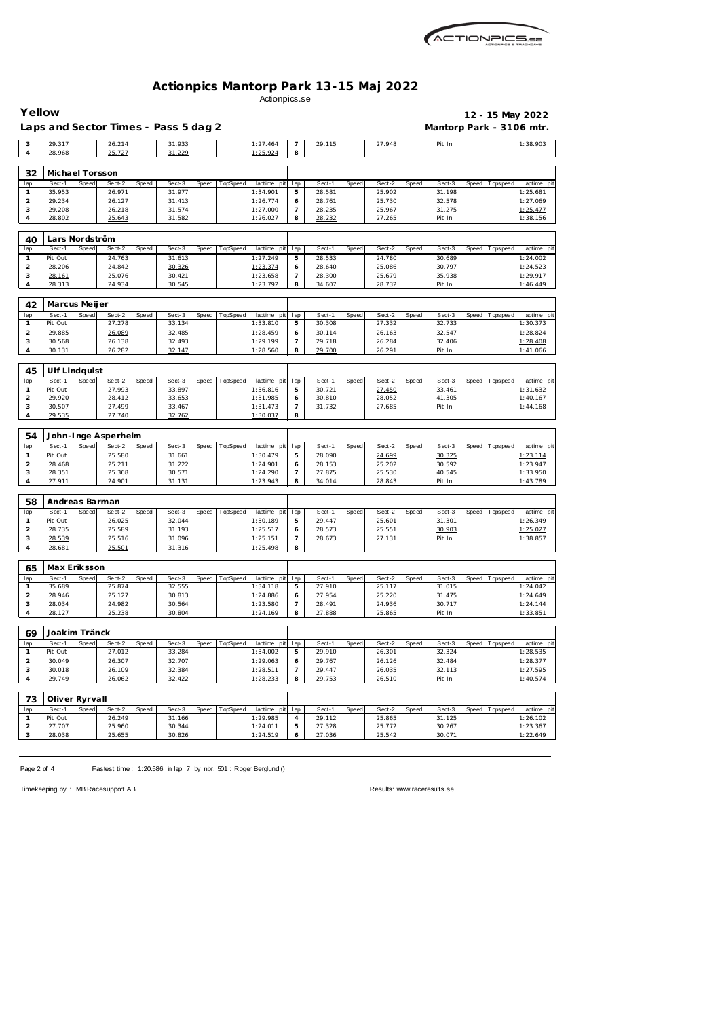

## **Actionpics Mantorp Park 13-15 Maj 2022** Actionpics.se

|                                | Yellow            |              |                                      |       |                  |       |          |                         |                     |                  |       |                  |       |                          |       | 12 - 15 May 2022 |                                                    |
|--------------------------------|-------------------|--------------|--------------------------------------|-------|------------------|-------|----------|-------------------------|---------------------|------------------|-------|------------------|-------|--------------------------|-------|------------------|----------------------------------------------------|
|                                |                   |              | Laps and Sector Times - Pass 5 dag 2 |       |                  |       |          |                         |                     |                  |       |                  |       | Mantorp Park - 3106 mtr. |       |                  |                                                    |
| 3<br>4                         | 29.317<br>28.968  |              | 26.214<br>25.727                     |       | 31.933<br>31.229 |       |          | 1:27.464<br>1:25.924    | $\overline{7}$<br>8 | 29.115           |       | 27.948           |       | Pit In                   |       |                  | 1:38.903                                           |
|                                |                   |              |                                      |       |                  |       |          |                         |                     |                  |       |                  |       |                          |       |                  |                                                    |
| 32                             | Michael Torsson   |              |                                      |       |                  |       |          |                         |                     |                  |       |                  |       |                          |       |                  |                                                    |
| lap<br>$\mathbf{1}$            | Sect-1<br>35.953  | Speed        | Sect-2<br>26.971                     | Speed | Sect-3<br>31.977 | Speed | TopSpeed | laptime pit<br>1:34.901 | lap<br>5            | Sect-1<br>28.581 | Speed | Sect-2<br>25.902 | Speed | Sect-3<br>31.198         | Speed | Tops pee d       | laptime pit<br>1:25.681                            |
| $\overline{c}$                 | 29.234            |              | 26.127                               |       | 31.413           |       |          | 1:26.774                | 6                   | 28.761           |       | 25.730           |       | 32.578                   |       |                  | 1:27.069                                           |
| 3                              | 29.208            |              | 26.218                               |       | 31.574           |       |          | 1:27.000                | 7                   | 28.235           |       | 25.967           |       | 31.275                   |       |                  | 1:25.477                                           |
| 4                              | 28.802            |              | 25.643                               |       | 31.582           |       |          | 1:26.027                | 8                   | 28.232           |       | 27.265           |       | Pit In                   |       |                  | 1:38.156                                           |
| 40                             | Lars Nordström    |              |                                      |       |                  |       |          |                         |                     |                  |       |                  |       |                          |       |                  |                                                    |
| lap                            | Sect-1            | Speed        | Sect-2                               | Speed | Sect-3           | Speed | TopSpeed | laptime pit             | lap                 | Sect-1           | Speed | Sect-2           | Speed | Sect-3                   | Speed | Tops pee d       | laptime pit                                        |
| $\mathbf{1}$                   | Pit Out           |              | 24.763                               |       | 31.613           |       |          | 1:27.249                | 5                   | 28.533           |       | 24.780           |       | 30.689                   |       |                  | 1:24.002                                           |
| $\overline{2}$                 | 28.206            |              | 24.842                               |       | 30.326           |       |          | 1:23.374                | 6                   | 28.640           |       | 25.086           |       | 30.797                   |       |                  | 1:24.523                                           |
| 3                              | 28.161            |              | 25.076                               |       | 30.421           |       |          | 1:23.658                | 7                   | 28.300           |       | 25.679           |       | 35.938                   |       |                  | 1:29.917                                           |
| 4                              | 28.313            |              | 24.934                               |       | 30.545           |       |          | 1:23.792                | 8                   | 34.607           |       | 28.732           |       | Pit In                   |       |                  | 1:46.449                                           |
| 42                             | Marcus Meijer     |              |                                      |       |                  |       |          |                         |                     |                  |       |                  |       |                          |       |                  |                                                    |
| lap                            | Sect-1            | Speed        | Sect-2                               | Speed | Sect-3           | Speed | TopSpeed | laptime pit             | lap                 | Sect-1           | Speed | Sect-2           | Speed | Sect-3                   | Speed | Tops pee d       | laptime pit                                        |
| $\mathbf{1}$                   | Pit Out           |              | 27.278                               |       | 33.134           |       |          | 1:33.810                | 5                   | 30.308           |       | 27.332           |       | 32.733                   |       |                  | 1:30.373                                           |
| $\overline{a}$                 | 29.885            |              | 26.089                               |       | 32.485           |       |          | 1:28.459                | 6                   | 30.114           |       | 26.163           |       | 32.547                   |       |                  | 1:28.824                                           |
| 3                              | 30.568            |              | 26.138                               |       | 32.493           |       |          | 1:29.199                | 7                   | 29.718           |       | 26.284           |       | 32.406                   |       |                  | 1:28.408                                           |
| 4                              | 30.131            |              | 26.282                               |       | 32.147           |       |          | 1:28.560                | 8                   | 29.700           |       | 26.291           |       | Pit In                   |       |                  | 1:41.066                                           |
| 45                             | Ulf Lindquist     |              |                                      |       |                  |       |          |                         |                     |                  |       |                  |       |                          |       |                  |                                                    |
| lap                            | Sect-1            | Speed        | Sect-2                               | Speed | Sect-3           | Speed | TopSpeed | laptime pit             | lap                 | Sect-1           | Speed | Sect-2           | Speed | Sect-3                   | Speed | Tops peed        | laptime pit                                        |
| $\mathbf{1}$                   | Pit Out           |              | 27.993                               |       | 33.897           |       |          | 1:36.816                | 5                   | 30.721           |       | 27.450           |       | 33.461                   |       |                  | 1:31.632                                           |
| $\overline{2}$                 | 29.920            |              | 28.412                               |       | 33.653           |       |          | 1:31.985                | 6                   | 30.810           |       | 28.052           |       | 41.305                   |       |                  | 1:40.167                                           |
| 3<br>4                         | 30.507<br>29.535  |              | 27.499<br>27.740                     |       | 33.467<br>32.762 |       |          | 1:31.473<br>1:30.037    | 7<br>8              | 31.732           |       | 27.685           |       | Pit In                   |       |                  | 1:44.168                                           |
|                                |                   |              |                                      |       |                  |       |          |                         |                     |                  |       |                  |       |                          |       |                  |                                                    |
| 54                             |                   |              | John-Inge Asperheim                  |       |                  |       |          |                         |                     |                  |       |                  |       |                          |       |                  |                                                    |
| lap                            | Sect-1            | <b>Speed</b> | Sect-2                               | Speed | Sect-3           | Speed | TopSpeed | laptime pit             | lap                 | Sect-1           | Speed | Sect-2           | Speed | Sect-3                   | Speed | Tops pee d       | laptime pit                                        |
| $\mathbf{1}$                   | Pit Out           |              | 25.580                               |       | 31.661           |       |          | 1:30.479                | 5                   | 28.090           |       | 24.699           |       | 30.325                   |       |                  | 1:23.114                                           |
| $\overline{c}$                 | 28.468            |              | 25.211<br>25.368                     |       | 31.222<br>30.571 |       |          | 1:24.901<br>1:24.290    | 6<br>7              | 28.153<br>27.875 |       | 25.202<br>25.530 |       | 30.592<br>40.545         |       |                  | 1:23.947<br>1:33.950                               |
|                                |                   |              |                                      |       |                  |       |          |                         | 8                   |                  |       |                  |       |                          |       |                  | 1:43.789                                           |
| 3<br>$\overline{4}$            | 28.351<br>27.911  |              | 24.901                               |       | 31.131           |       |          | 1:23.943                |                     | 34.014           |       | 28.843           |       | Pit In                   |       |                  |                                                    |
|                                |                   |              |                                      |       |                  |       |          |                         |                     |                  |       |                  |       |                          |       |                  |                                                    |
| 58                             | Andreas Barman    |              |                                      |       |                  |       |          |                         |                     |                  |       |                  |       |                          |       |                  |                                                    |
| lap                            | Sect-1            | Speed        | Sect-2                               | Speed | Sect-3           | Speed | TopSpeed | laptime pit             | lap                 | Sect-1           | Speed | Sect-2           | Speed | Sect-3                   | Speed | T ops pee d      |                                                    |
| $\mathbf{1}$                   | Pit Out           |              | 26.025                               |       | 32.044           |       |          | 1:30.189                | 5                   | 29.447           |       | 25.601           |       | 31.301                   |       |                  | 1:26.349                                           |
| $\overline{c}$                 | 28.735            |              | 25.589                               |       | 31.193           |       |          | 1:25.517                | 6                   | 28.573           |       | 25.551           |       | 30.903                   |       |                  | 1:25.027                                           |
| 3<br>4                         | 28.539<br>28.681  |              | 25.516<br>25.501                     |       | 31.096<br>31.316 |       |          | 1:25.151<br>1:25.498    | 7<br>8              | 28.673           |       | 27.131           |       | Pit In                   |       |                  | 1:38.857                                           |
|                                |                   |              |                                      |       |                  |       |          |                         |                     |                  |       |                  |       |                          |       |                  |                                                    |
| 65                             | Max Eriksson      |              |                                      |       |                  |       |          |                         |                     |                  |       |                  |       |                          |       |                  | laptime pit                                        |
| lap                            | Sect-1            | Speed        | Sect-2                               | Speed | Sect-3           | Speed | TopSpeed | laptime pit             | lap                 | Sect-1           | Speed | Sect-2           | Speed | Sect-3                   | Speed | Topspeed         |                                                    |
| $\mathbf{1}$                   | 35.689            |              | 25.874                               |       | 32.555           |       |          | 1:34.118                | 5                   | 27.910           |       | 25.117           |       | 31.015                   |       |                  | 1:24.042                                           |
| $\overline{a}$                 | 28.946            |              | 25.127                               |       | 30.813           |       |          | 1:24.886                | 6                   | 27.954           |       | 25.220           |       | 31.475                   |       |                  | 1:24.649                                           |
| 3<br>4                         | 28.034<br>28.127  |              | 24.982<br>25.238                     |       | 30.564<br>30.804 |       |          | 1:23.580<br>1:24.169    | 7<br>8              | 28.491<br>27.888 |       | 24.936<br>25.865 |       | 30.717<br>Pit In         |       |                  | 1:24.144<br>1:33.851                               |
|                                |                   |              |                                      |       |                  |       |          |                         |                     |                  |       |                  |       |                          |       |                  |                                                    |
| 69                             | Joakim Tränck     |              |                                      |       |                  |       |          |                         |                     |                  |       |                  |       |                          |       |                  |                                                    |
| lap                            | Sect-1<br>Pit Out | Speed        | Sect-2                               | Speed | Sect-3           | Speed | TopSpeed | laptime pit             | lap                 | Sect-1           | Speed | Sect-2           | Speed | Sect-3                   | Speed | Tops peed        |                                                    |
| $\mathbf{1}$<br>$\overline{2}$ | 30.049            |              | 27.012<br>26.307                     |       | 33.284<br>32.707 |       |          | 1:34.002<br>1:29.063    | 5<br>6              | 29.910<br>29.767 |       | 26.301<br>26.126 |       | 32.324<br>32.484         |       |                  | laptime pit<br>laptime pit<br>1:28.535<br>1:28.377 |
| 3                              | 30.018            |              | 26.109                               |       | 32.384           |       |          | 1:28.511                | $\overline{7}$      | 29.447           |       | 26.035           |       | 32.113                   |       |                  | 1:27.595                                           |
| 4                              | 29.749            |              | 26.062                               |       | 32.422           |       |          | 1:28.233                | 8                   | 29.753           |       | 26.510           |       | Pit In                   |       |                  | 1:40.574                                           |
|                                |                   |              |                                      |       |                  |       |          |                         |                     |                  |       |                  |       |                          |       |                  |                                                    |
| 73                             | Oliver Ryrvall    |              |                                      |       |                  |       |          |                         |                     |                  |       |                  |       |                          |       |                  |                                                    |
| lap<br>$\mathbf{1}$            | Sect-1<br>Pit Out | Speed        | Sect-2<br>26.249                     | Speed | Sect-3<br>31.166 | Speed | TopSpeed | laptime pit<br>1:29.985 | lap<br>4            | Sect-1<br>29.112 | Speed | Sect-2<br>25.865 | Speed | Sect-3<br>31.125         | Speed | Tops peed        | laptime pit<br>1:26.102                            |
| $\overline{2}$                 | 27.707            |              | 25.960                               |       | 30.344           |       |          | 1:24.011                | 5                   | 27.328           |       | 25.772           |       | 30.267                   |       |                  | 1:23.367                                           |
| 3                              | 28.038            |              | 25.655                               |       | 30.826           |       |          | 1:24.519                | 6                   | 27.036           |       | 25.542           |       | 30.071                   |       |                  | 1:22.649                                           |

Page 2 of 4 Fastest time: 1:20.586 in lap 7 by nbr. 501 : Roger Berglund ()

Timekeeping by : MB Racesupport AB Results:<www.raceresults.se>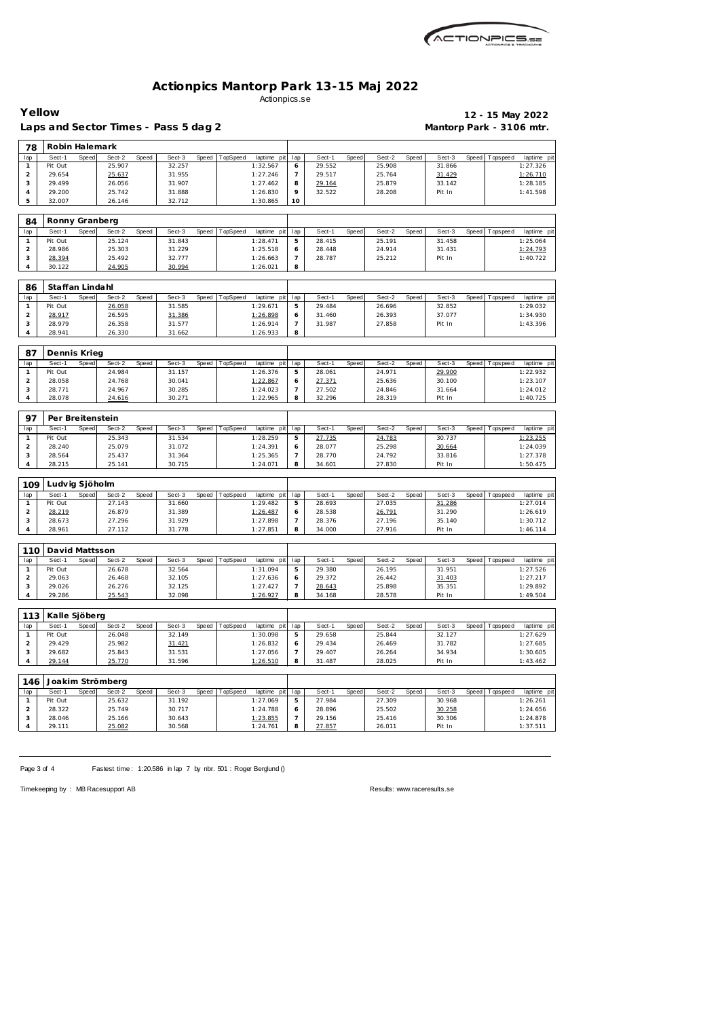| ACTIONPICS.sa |
|---------------|
|               |

## **Actionpics Mantorp Park 13-15 Maj 2022** Actionpics.se

**Yellow 12 - 15 May 2022**

|                         |                           |       |                  |       | Laps and Sector Times - Pass 5 dag 2 |       |                  |                      |                     |                  |       |                  |       |                  |       | Mantorp Park - 3106 mtr. |                      |
|-------------------------|---------------------------|-------|------------------|-------|--------------------------------------|-------|------------------|----------------------|---------------------|------------------|-------|------------------|-------|------------------|-------|--------------------------|----------------------|
| 78                      | Robin Halemark            |       |                  |       |                                      |       |                  |                      |                     |                  |       |                  |       |                  |       |                          |                      |
| lap                     | Sect-1                    | Speed | Sect-2           | Speed | Sect-3                               | Speed | TopSpeed         | laptime pit          | lap                 | Sect-1           | Speed | Sect-2           | Speed | Sect-3           | Speed | Tops pee d               | laptime pit          |
| $\mathbf{1}$            | Pit Out                   |       | 25.907           |       | 32.257                               |       |                  | 1:32.567             | 6                   | 29.552           |       | 25.908           |       | 31.866           |       |                          | 1:27.326             |
| $\overline{\mathbf{c}}$ | 29.654                    |       | 25.637           |       | 31.955                               |       |                  | 1:27.246             | 7                   | 29.517           |       | 25.764           |       | 31.429           |       |                          | 1:26.710             |
| 3                       | 29.499                    |       | 26.056           |       | 31.907                               |       |                  | 1:27.462             | 8                   | 29.164           |       | 25.879           |       | 33.142           |       |                          | 1:28.185             |
| 4<br>5                  | 29.200<br>32.007          |       | 25.742<br>26.146 |       | 31.888<br>32.712                     |       |                  | 1:26.830<br>1:30.865 | 9<br>10             | 32.522           |       | 28.208           |       | Pit In           |       |                          | 1:41.598             |
|                         |                           |       |                  |       |                                      |       |                  |                      |                     |                  |       |                  |       |                  |       |                          |                      |
| 84                      | Ronny Granberg            |       |                  |       |                                      |       |                  |                      |                     |                  |       |                  |       |                  |       |                          |                      |
| lap                     | Sect-1                    | Speed | Sect-2           | Speed | Sect-3                               | Speed | TopSpeed         | laptime pit          | lap                 | Sect-1           | Speed | Sect-2           | Speed | Sect-3           | Speed | Tops pee d               | laptime pit          |
| $\mathbf{1}$            | Pit Out                   |       | 25.124           |       | 31.843                               |       |                  | 1:28.471             | $\mathbf 5$         | 28.415           |       | 25.191           |       | 31.458           |       |                          | 1:25.064             |
| $\overline{c}$          | 28.986                    |       | 25.303           |       | 31.229                               |       |                  | 1:25.518             | 6                   | 28.448           |       | 24.914           |       | 31.431           |       |                          | 1:24.793             |
| 3                       | 28.394                    |       | 25.492           |       | 32.777                               |       |                  | 1:26.663             | $\overline{7}$      | 28.787           |       | 25.212           |       | Pit In           |       |                          | 1:40.722             |
| 4                       | 30.122                    |       | 24.905           |       | 30.994                               |       |                  | 1:26.021             | 8                   |                  |       |                  |       |                  |       |                          |                      |
|                         |                           |       |                  |       |                                      |       |                  |                      |                     |                  |       |                  |       |                  |       |                          |                      |
| 86<br>lap               | Staffan Lindahl<br>Sect-1 | Speed | Sect-2           | Speed | Sect-3                               | Speed | TopSpeed         | laptime pit          | lap                 | Sect-1           | Speed | Sect-2           | Speed | Sect-3           | Speed | T ops peed               | laptime pit          |
| $\mathbf{1}$            | Pit Out                   |       | 26.058           |       | 31.585                               |       |                  | 1:29.671             | $\mathbf 5$         | 29.484           |       | 26.696           |       | 32.852           |       |                          | 1:29.032             |
| $\overline{c}$          | 28.917                    |       | 26.595           |       | 31.386                               |       |                  | 1:26.898             | 6                   | 31.460           |       | 26.393           |       | 37.077           |       |                          | 1:34.930             |
| 3                       | 28.979                    |       | 26.358           |       | 31.577                               |       |                  | 1:26.914             | $\overline{7}$      | 31.987           |       | 27.858           |       | Pit In           |       |                          | 1:43.396             |
| 4                       | 28.941                    |       | 26.330           |       | 31.662                               |       |                  | 1:26.933             | 8                   |                  |       |                  |       |                  |       |                          |                      |
|                         |                           |       |                  |       |                                      |       |                  |                      |                     |                  |       |                  |       |                  |       |                          |                      |
| 87                      | Dennis Krieg              |       |                  |       |                                      |       |                  |                      |                     |                  |       |                  |       |                  |       |                          |                      |
| lap                     | Sect-1                    | Speed | Sect-2           | Speed | Sect-3                               | Speed | TopSpeed         | laptime pit          | lap                 | Sect-1           | Speed | Sect-2           | Speed | Sect-3           | Speed | Tops pee d               | laptime pit          |
| $\mathbf{1}$            | Pit Out                   |       | 24.984           |       | 31.157                               |       |                  | 1:26.376             | 5                   | 28.061           |       | 24.971           |       | 29.900           |       |                          | 1:22.932             |
| $\overline{c}$<br>3     | 28.058<br>28.771          |       | 24.768<br>24.967 |       | 30.041<br>30.285                     |       |                  | 1:22.867<br>1:24.023 | 6<br>7              | 27.371<br>27.502 |       | 25.636<br>24.846 |       | 30.100<br>31.664 |       |                          | 1:23.107<br>1:24.012 |
| 4                       | 28.078                    |       | 24.616           |       | 30.271                               |       |                  | 1:22.965             | 8                   | 32.296           |       | 28.319           |       | Pit In           |       |                          | 1:40.725             |
|                         |                           |       |                  |       |                                      |       |                  |                      |                     |                  |       |                  |       |                  |       |                          |                      |
| 97                      | Per Breitenstein          |       |                  |       |                                      |       |                  |                      |                     |                  |       |                  |       |                  |       |                          |                      |
| lap                     | Sect-1                    | Speed | Sect-2           | Speed | Sect-3                               | Speed | TopSpeed         | laptime pit          | lap                 | Sect-1           | Speed | Sect-2           | Speed | Sect-3           | Speed | Tops pee d               | laptime pit          |
| $\mathbf{1}$            | Pit Out                   |       | 25.343           |       | 31.534                               |       |                  | 1:28.259             | $\mathbf 5$         | 27.735           |       | 24.783           |       | 30.737           |       |                          | 1:23.255             |
| $\overline{c}$          | 28.240                    |       | 25.079           |       | 31.072                               |       |                  | 1:24.391             | 6                   | 28.077           |       | 25.298           |       | 30.664           |       |                          | 1:24.039             |
| 3                       | 28.564                    |       | 25.437           |       | 31.364                               |       |                  | 1:25.365             | $\overline{7}$      | 28.770           |       | 24.792           |       | 33.816           |       |                          | 1:27.378             |
| 4                       | 28.215                    |       | 25.141           |       | 30.715                               |       |                  | 1:24.071             | 8                   | 34.601           |       | 27.830           |       | Pit In           |       |                          | 1:50.475             |
|                         |                           |       |                  |       |                                      |       |                  |                      |                     |                  |       |                  |       |                  |       |                          |                      |
| 109                     | Ludvig Sjöholm            |       |                  |       |                                      |       |                  |                      |                     |                  |       |                  |       |                  |       |                          |                      |
| lap                     | Sect-1                    | Speed | Sect-2           | Speed | Sect-3                               | Speed | TopSpeed         | laptime pit          | lap                 | Sect-1           | Speed | Sect-2           | Speed | Sect-3           | Speed | Tops pee d               | laptime pit          |
| $\mathbf{1}$            | Pit Out                   |       | 27.143           |       | 31.660                               |       |                  | 1:29.482             | 5                   | 28.693           |       | 27.035           |       | 31.286           |       |                          | 1:27.014             |
| $\overline{\mathbf{c}}$ | 28.219                    |       | 26.879           |       | 31.389                               |       |                  | 1:26.487             | 6                   | 28.538           |       | 26.791           |       | 31.290           |       |                          | 1:26.619             |
| 3<br>4                  | 28.673<br>28.961          |       | 27.296<br>27.112 |       | 31.929<br>31.778                     |       |                  | 1:27.898<br>1:27.851 | $\overline{7}$<br>8 | 28.376<br>34.000 |       | 27.196<br>27.916 |       | 35.140<br>Pit In |       |                          | 1:30.712<br>1:46.114 |
|                         |                           |       |                  |       |                                      |       |                  |                      |                     |                  |       |                  |       |                  |       |                          |                      |
| 110                     | David Mattsson            |       |                  |       |                                      |       |                  |                      |                     |                  |       |                  |       |                  |       |                          |                      |
| lap                     | Sect-1                    | Speed | Sect-2           | Speed | Sect-3                               |       | Speed   TopSpeed | laptime pit          | lap                 | Sect-1           | Speed | Sect-2           | Speed | Sect-3           |       | Speed Topspeed           | laptime pit          |
| $\mathbf{1}$            | Pit Out                   |       | 26.678           |       | 32.564                               |       |                  | 1:31.094             | 5                   | 29.380           |       | 26.195           |       | 31.951           |       |                          | 1:27.526             |
| 2                       | 29.063                    |       | 26.468           |       | 32.105                               |       |                  | 1:27.636             | 6                   | 29.372           |       | 26.442           |       | 31.403           |       |                          | 1:27.217             |
| 3                       | 29.026                    |       | 26.276           |       | 32.125                               |       |                  | 1:27.427             | 7                   | 28.643           |       | 25.898           |       | 35.351           |       |                          | 1:29.892             |
| 4                       | 29.286                    |       | 25.543           |       | 32.098                               |       |                  | 1:26.927             | 8                   | 34.168           |       | 28.578           |       | Pit In           |       |                          | 1:49.504             |
|                         | Kalle Sjöberg             |       |                  |       |                                      |       |                  |                      |                     |                  |       |                  |       |                  |       |                          |                      |
| 113<br>lap              | Sect-1                    | Speed | Sect-2           | Speed | Sect-3                               | Speed | TopSpeed         | laptime pit          | lap                 | Sect-1           | Speed | Sect-2           | Speed | Sect-3           | Speed | Topspeed                 | laptime pit          |
| $\mathbf{1}$            | Pit Out                   |       | 26.048           |       | 32.149                               |       |                  | 1:30.098             | 5                   | 29.658           |       | 25.844           |       | 32.127           |       |                          | 1:27.629             |
| $\overline{c}$          | 29.429                    |       | 25.982           |       | 31.421                               |       |                  | 1:26.832             | 6                   | 29.434           |       | 26.469           |       | 31.782           |       |                          | 1:27.685             |
| 3                       | 29.682                    |       | 25.843           |       | 31.531                               |       |                  | 1:27.056             | 7                   | 29.407           |       | 26.264           |       | 34.934           |       |                          | 1:30.605             |
| 4                       | 29.144                    |       | 25.770           |       | 31.596                               |       |                  | 1:26.510             | 8                   | 31.487           |       | 28.025           |       | Pit In           |       |                          | 1:43.462             |
|                         |                           |       |                  |       |                                      |       |                  |                      |                     |                  |       |                  |       |                  |       |                          |                      |
| 146                     |                           |       | Joakim Strömberg |       |                                      |       |                  |                      |                     |                  |       |                  |       |                  |       |                          |                      |
| lap                     | Sect-1                    | Speed | Sect-2           | Speed | Sect-3                               | Speed | TopSpeed         | laptime pit          | lap                 | Sect-1           | Speed | Sect-2           | Speed | Sect-3           | Speed | Tops peed                | laptime pit          |
| $\mathbf{1}$            | Pit Out                   |       | 25.632           |       | 31.192                               |       |                  | 1:27.069             | 5                   | 27.984           |       | 27.309           |       | 30.968           |       |                          | 1:26.261             |
| $\overline{a}$<br>3     | 28.322<br>28.046          |       | 25.749           |       | 30.717                               |       |                  | 1:24.788             | 6<br>$\overline{7}$ | 28.896           |       | 25.502           |       | 30.258<br>30.306 |       |                          | 1:24.656             |
| 4                       | 29.111                    |       | 25.166<br>25.082 |       | 30.643<br>30.568                     |       |                  | 1:23.855<br>1:24.761 | 8                   | 29.156<br>27.857 |       | 25.416<br>26.011 |       | Pit In           |       |                          | 1:24.878<br>1:37.511 |
|                         |                           |       |                  |       |                                      |       |                  |                      |                     |                  |       |                  |       |                  |       |                          |                      |

Page 3 of 4 Fastest time: 1:20.586 in lap 7 by nbr. 501 : Roger Berglund ()

Timekeeping by : MB Racesupport AB Results:<www.raceresults.se>